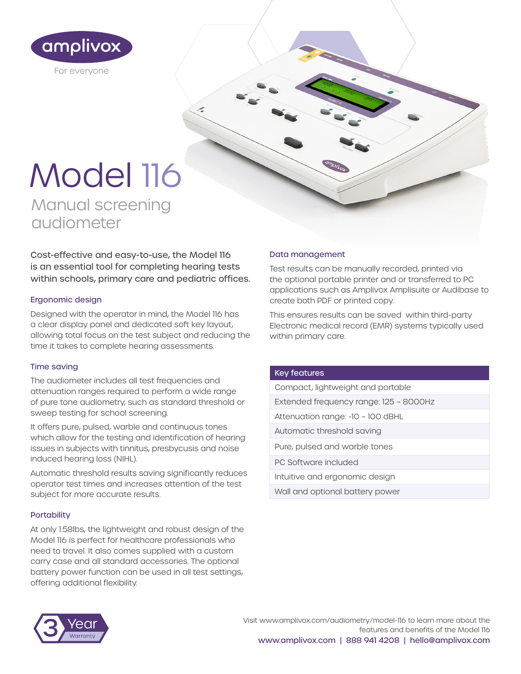

# Model 116

Manual screening audiometer

Cost-effective and easy-to-use, the Model 116 is an essential tool for completing hearing tests within schools, primary care and pediatric offices.

# Ergonomic design

Designed with the operator in mind, the Model 116 has a clear display panel and dedicated soft key layout, allowing total focus on the test subject and reducing the time it takes to complete hearing assessments.

# Time saving

The audiometer includes all test frequencies and attenuation ranges required to perform a wide range of pure tone audiometry, such as standard threshold or sweep testing for school screening.

It offers pure, pulsed, warble and continuous tones which allow for the testing and identification of hearing issues in subjects with tinnitus, presbycusis and noise induced hearing loss (NIHL).

Automatic threshold results saving significantly reduces operator test times and increases attention of the test subject for more accurate results.

# **Portability**

At only 1.58lbs, the lightweight and robust design of the Model 116 is perfect for healthcare professionals who need to travel. It also comes supplied with a custom carry case and all standard accessories. The optional battery power function can be used in all test settings, offering additional flexibility.

# Data management

Test results can be manually recorded, printed via the optional portable printer and or transferred to PC applications such as Amplivox Amplisuite or Audibase to create both PDF or printed copy.

This ensures results can be saved within third-party Electronic medical record (EMR) systems typically used within primary care.

#### Key features

Compact, lightweight and portable

- Extended frequency range: 125 8000Hz
- Attenuation range: -10 100 dBHL
- Automatic threshold saving
- Pure, pulsed and warble tones

PC Software included

- Intuitive and ergonomic design
- Wall and optional battery power